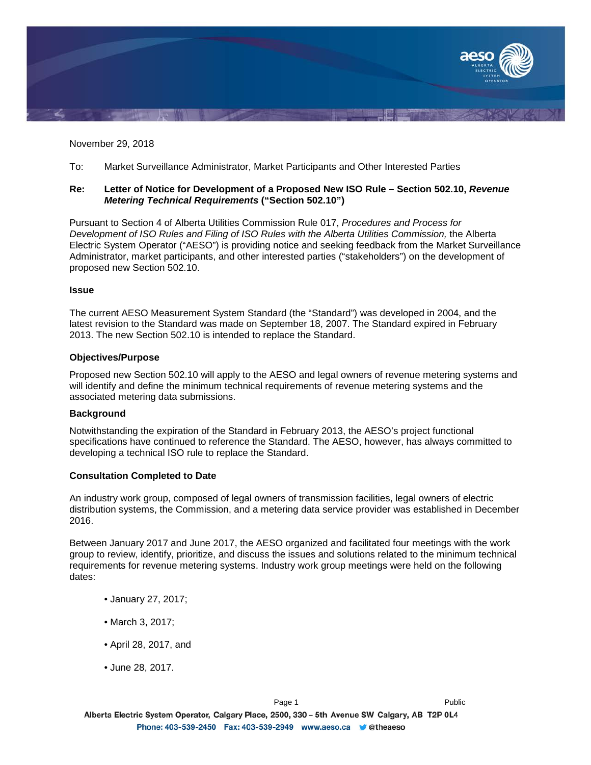

November 29, 2018

To: Market Surveillance Administrator, Market Participants and Other Interested Parties

## **Re: Letter of Notice for Development of a Proposed New ISO Rule – Section 502.10,** *Revenue Metering Technical Requirements* **("Section 502.10")**

Pursuant to Section 4 of Alberta Utilities Commission Rule 017, *Procedures and Process for*  Development of ISO Rules and Filing of ISO Rules with the Alberta Utilities Commission, the Alberta Electric System Operator ("AESO") is providing notice and seeking feedback from the Market Surveillance Administrator, market participants, and other interested parties ("stakeholders") on the development of proposed new Section 502.10.

#### **Issue**

The current AESO Measurement System Standard (the "Standard") was developed in 2004, and the latest revision to the Standard was made on September 18, 2007. The Standard expired in February 2013. The new Section 502.10 is intended to replace the Standard.

#### **Objectives/Purpose**

Proposed new Section 502.10 will apply to the AESO and legal owners of revenue metering systems and will identify and define the minimum technical requirements of revenue metering systems and the associated metering data submissions.

# **Background**

Notwithstanding the expiration of the Standard in February 2013, the AESO's project functional specifications have continued to reference the Standard. The AESO, however, has always committed to developing a technical ISO rule to replace the Standard.

# **Consultation Completed to Date**

An industry work group, composed of legal owners of transmission facilities, legal owners of electric distribution systems, the Commission, and a metering data service provider was established in December 2016.

Between January 2017 and June 2017, the AESO organized and facilitated four meetings with the work group to review, identify, prioritize, and discuss the issues and solutions related to the minimum technical requirements for revenue metering systems. Industry work group meetings were held on the following dates:

- January 27, 2017;
- March 3, 2017;
- April 28, 2017, and
- June 28, 2017.

Alberta Electric System Operator, Calgary Place, 2500, 330 - 5th Avenue SW Calgary, AB T2P 0L4 Phone: 403-539-2450 Fax: 403-539-2949 www.aeso.ca Cheaeso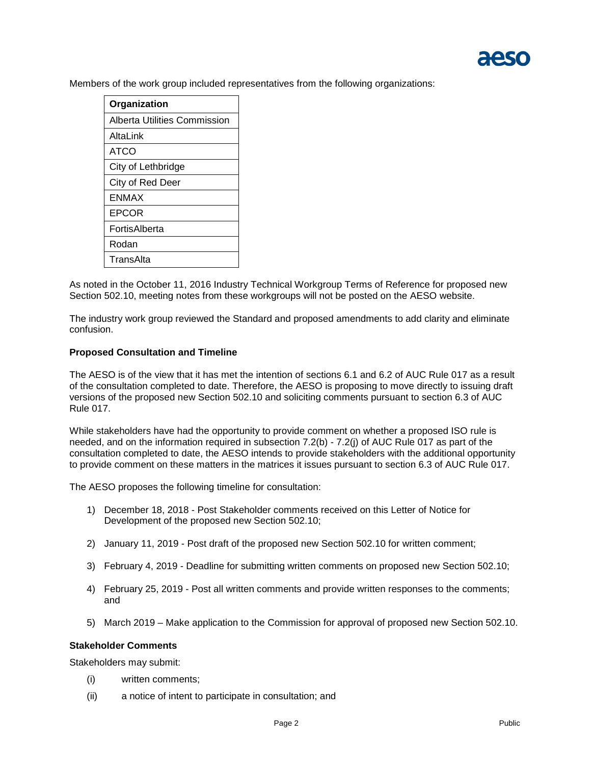Members of the work group included representatives from the following organizations:

| Organization                 |
|------------------------------|
| Alberta Utilities Commission |
| AltaLink                     |
| ATCO                         |
| City of Lethbridge           |
| City of Red Deer             |
| <b>FNMAX</b>                 |
| EPCOR                        |
| FortisAlberta                |
| Rodan                        |
| TransAlta                    |

As noted in the October 11, 2016 Industry Technical Workgroup Terms of Reference for proposed new Section 502.10, meeting notes from these workgroups will not be posted on the AESO website.

The industry work group reviewed the Standard and proposed amendments to add clarity and eliminate confusion.

# **Proposed Consultation and Timeline**

The AESO is of the view that it has met the intention of sections 6.1 and 6.2 of AUC Rule 017 as a result of the consultation completed to date. Therefore, the AESO is proposing to move directly to issuing draft versions of the proposed new Section 502.10 and soliciting comments pursuant to section 6.3 of AUC Rule 017.

While stakeholders have had the opportunity to provide comment on whether a proposed ISO rule is needed, and on the information required in subsection 7.2(b) - 7.2(j) of AUC Rule 017 as part of the consultation completed to date, the AESO intends to provide stakeholders with the additional opportunity to provide comment on these matters in the matrices it issues pursuant to section 6.3 of AUC Rule 017.

The AESO proposes the following timeline for consultation:

- 1) December 18, 2018 Post Stakeholder comments received on this Letter of Notice for Development of the proposed new Section 502.10;
- 2) January 11, 2019 Post draft of the proposed new Section 502.10 for written comment;
- 3) February 4, 2019 Deadline for submitting written comments on proposed new Section 502.10;
- 4) February 25, 2019 Post all written comments and provide written responses to the comments; and
- 5) March 2019 Make application to the Commission for approval of proposed new Section 502.10.

#### **Stakeholder Comments**

Stakeholders may submit:

- (i) written comments;
- (ii) a notice of intent to participate in consultation; and